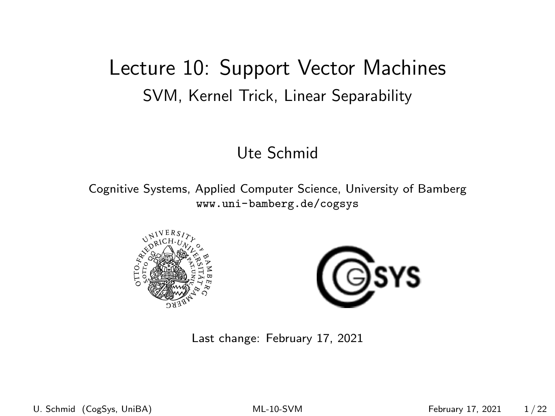## <span id="page-0-0"></span>Lecture 10: Support Vector Machines SVM, Kernel Trick, Linear Separability

#### Ute Schmid

Cognitive Systems, Applied Computer Science, University of Bamberg <www.uni-bamberg.de/cogsys>





Last change: February 17, 2021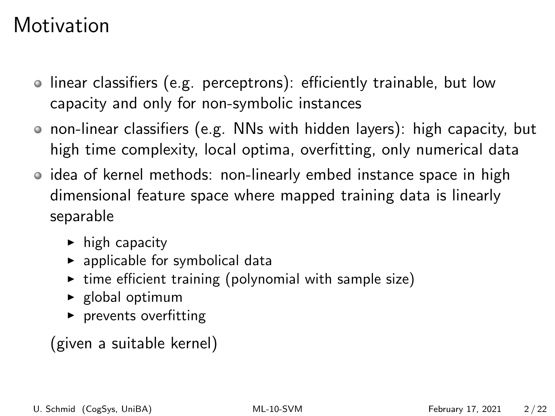## **Motivation**

- linear classifiers (e.g. perceptrons): efficiently trainable, but low capacity and only for non-symbolic instances
- non-linear classifiers (e.g. NNs with hidden layers): high capacity, but high time complexity, local optima, overfitting, only numerical data
- idea of kernel methods: non-linearly embed instance space in high dimensional feature space where mapped training data is linearly separable
	- $\blacktriangleright$  high capacity
	- $\blacktriangleright$  applicable for symbolical data
	- $\triangleright$  time efficient training (polynomial with sample size)
	- $\blacktriangleright$  global optimum
	- $\blacktriangleright$  prevents overfitting

### (given a suitable kernel)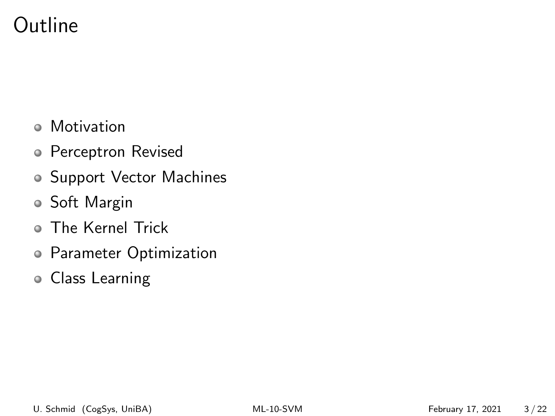## Outline

- Motivation
- Perceptron Revised
- Support Vector Machines
- Soft Margin
- The Kernel Trick
- Parameter Optimization
- Class Learning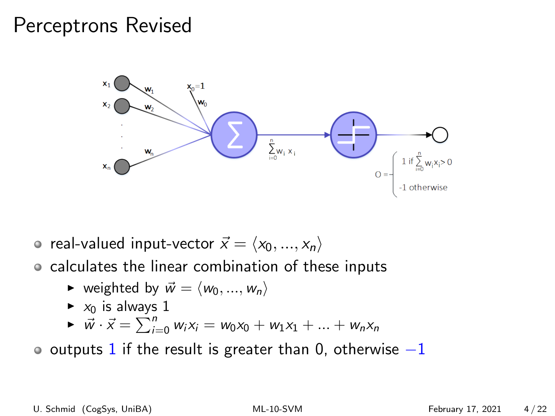## Perceptrons Revised



- real-valued input-vector  $\vec{x} = \langle x_0, ..., x_n \rangle$
- calculates the linear combination of these inputs
	- veighted by  $\vec{w} = \langle w_0, ..., w_n \rangle$
	- $\blacktriangleright$   $x_0$  is always 1

$$
\triangleright \ \vec{w} \cdot \vec{x} = \sum_{i=0}^{n} w_i x_i = w_0 x_0 + w_1 x_1 + \dots + w_n x_n
$$

 $\bullet$  outputs 1 if the result is greater than 0, otherwise  $-1$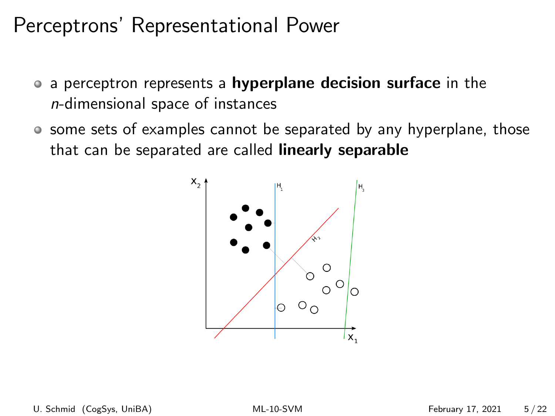## Perceptrons' Representational Power

- a perceptron represents a **hyperplane decision surface** in the n-dimensional space of instances
- some sets of examples cannot be separated by any hyperplane, those that can be separated are called linearly separable

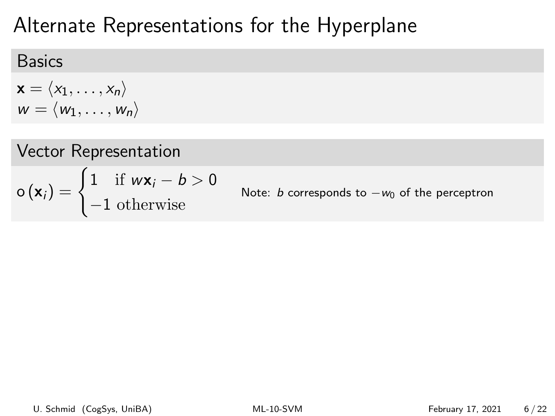## Alternate Representations for the Hyperplane

### Basics

$$
\mathbf{x} = \langle x_1, \dots, x_n \rangle
$$
  

$$
w = \langle w_1, \dots, w_n \rangle
$$

Vector Representation  $\mathbf{o}(\mathbf{x}_i) = \begin{cases} 1 & \text{if } w\mathbf{x}_i - b > 0 \\ 1 & \text{if } w\mathbf{x}_i \end{cases}$ −1 otherwise Note: *b* corresponds to  $-w_0$  of the perceptron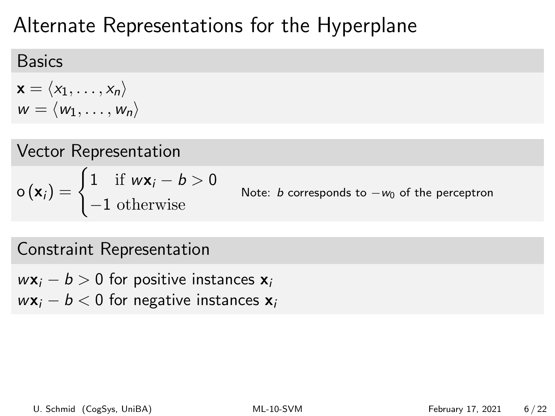# Alternate Representations for the Hyperplane

### Basics

$$
\mathbf{x} = \langle x_1, \dots, x_n \rangle
$$
  

$$
w = \langle w_1, \dots, w_n \rangle
$$

Vector Representation  $\mathbf{o}(\mathbf{x}_i) = \begin{cases} 1 & \text{if } w\mathbf{x}_i - b > 0 \\ 1 & \text{if } w\mathbf{x}_i \end{cases}$ −1 otherwise Note: b corresponds to  $-w_0$  of the perceptron

### Constraint Representation

- $w\mathbf{x}_i b > 0$  for positive instances  $\mathbf{x}_i$
- $w\mathbf{x}_i b < 0$  for negative instances  $\mathbf{x}_i$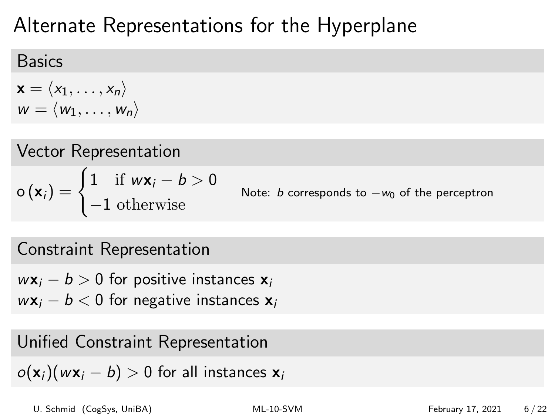# Alternate Representations for the Hyperplane

### Basics

$$
\mathbf{x} = \langle x_1, \dots, x_n \rangle
$$
  

$$
w = \langle w_1, \dots, w_n \rangle
$$

Vector Representation  $\mathbf{o}(\mathbf{x}_i) = \begin{cases} 1 & \text{if } w\mathbf{x}_i - b > 0 \\ 1 & \text{if } w\mathbf{x}_i \end{cases}$ −1 otherwise Note: b corresponds to  $-w_0$  of the perceptron

## Constraint Representation

 $w\mathbf{x}_i - b > 0$  for positive instances  $\mathbf{x}_i$ 

 $w\mathbf{x}_i - b < 0$  for negative instances  $\mathbf{x}_i$ 

### Unified Constraint Representation

 $o(\mathbf{x}_i)(w\mathbf{x}_i - b) > 0$  for all instances  $\mathbf{x}_i$ 

U. Schmid (CogSys, UniBA) [ML-10-SVM](#page-0-0) February 17, 2021 6 / 22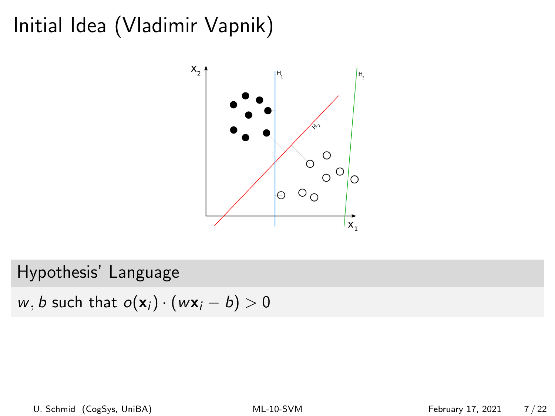## Initial Idea (Vladimir Vapnik)



#### Hypothesis' Language

w, b such that  $o(\mathbf{x}_i) \cdot (w\mathbf{x}_i - b) > 0$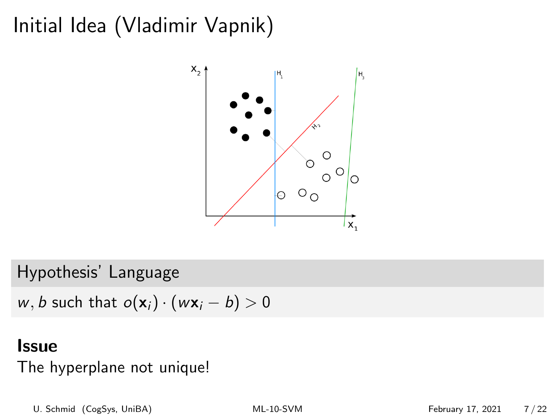## Initial Idea (Vladimir Vapnik)



Hypothesis' Language

w, b such that  $o(\mathbf{x}_i) \cdot (w\mathbf{x}_i - b) > 0$ 

#### **Issue**

The hyperplane not unique!

U. Schmid (CogSys, UniBA) [ML-10-SVM](#page-0-0) February 17, 2021 7 / 22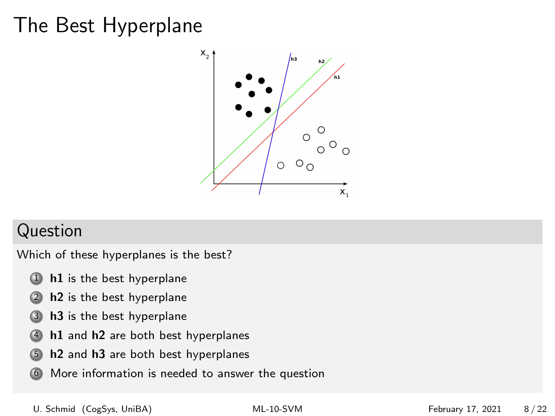## The Best Hyperplane



#### Question

Which of these hyperplanes is the best?

- 1 h1 is the best hyperplane
- 2 h2 is the best hyperplane
- 3 h3 is the best hyperplane
- 4 h1 and h2 are both best hyperplanes
- 5 h2 and h3 are both best hyperplanes
- 6 More information is needed to answer the question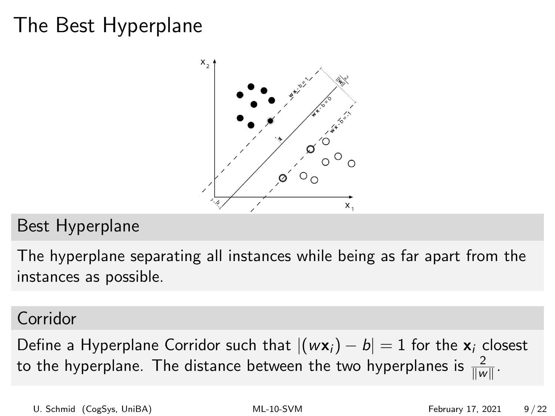## The Best Hyperplane



### Best Hyperplane

The hyperplane separating all instances while being as far apart from the instances as possible.

#### Corridor

Define a Hyperplane Corridor such that  $|(w\mathbf{x}_i) - b| = 1$  for the  $\mathbf{x}_i$  closest to the hyperplane. The distance between the two hyperplanes is  $\frac{2}{\|w\|}$ .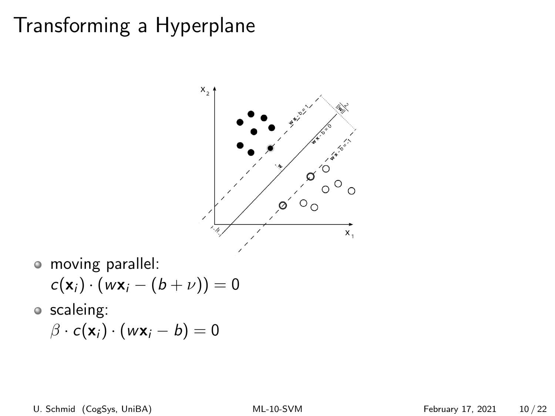## Transforming a Hyperplane



moving parallel:

$$
c(\mathbf{x}_i) \cdot (w\mathbf{x}_i - (b + \nu)) = 0
$$

scaleing:

$$
\beta \cdot c(\mathbf{x}_i) \cdot (w\mathbf{x}_i - b) = 0
$$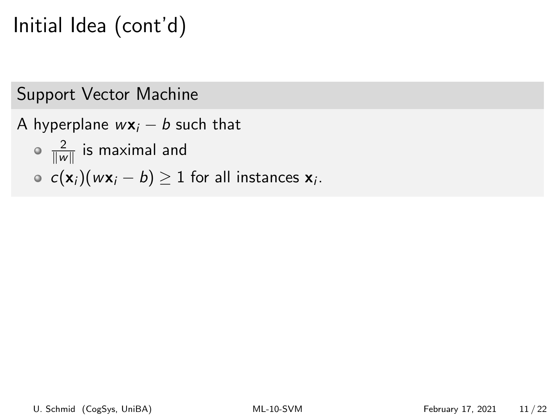# Initial Idea (cont'd)

### Support Vector Machine

- A hyperplane  $w\mathbf{x}_i b$  such that
	- 2  $\frac{2}{\|w\|}$  is maximal and
	- $c(\mathsf{x}_i)(w\mathsf{x}_i b) \geq 1$  for all instances  $\mathsf{x}_i$ .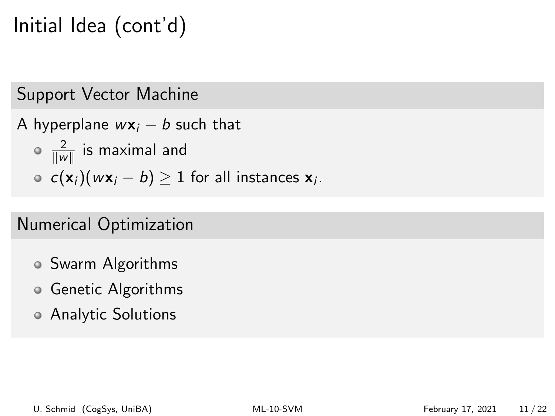# Initial Idea (cont'd)

### Support Vector Machine

- A hyperplane  $w\mathbf{x}_i b$  such that
	- 2  $\frac{2}{\|w\|}$  is maximal and
	- $c(\mathsf{x}_i)(w\mathsf{x}_i b) \geq 1$  for all instances  $\mathsf{x}_i$ .

## Numerical Optimization

- Swarm Algorithms
- Genetic Algorithms
- Analytic Solutions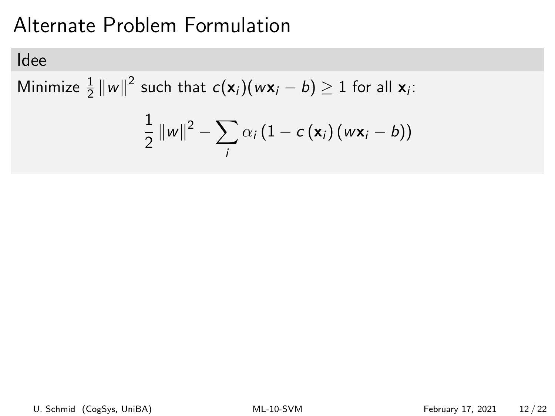# Alternate Problem Formulation

### Idee

Minimize  $\frac{1}{2} ||w||^2$  such that  $c(\mathbf{x}_i)(w\mathbf{x}_i - b) \geq 1$  for all  $\mathbf{x}_i$ :

$$
\frac{1}{2}||w||^2 - \sum_i \alpha_i (1 - c(\mathbf{x}_i)(w\mathbf{x}_i - b))
$$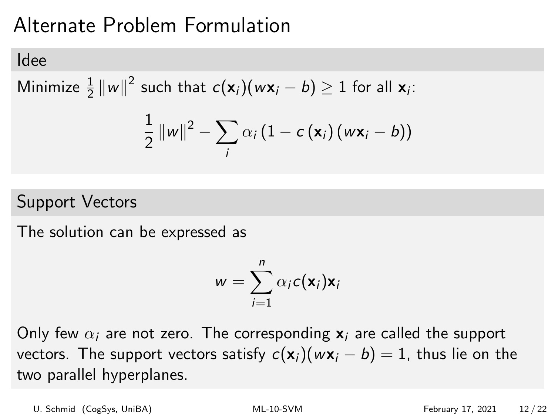# Alternate Problem Formulation

#### Idee

Minimize  $\frac{1}{2} ||w||^2$  such that  $c(\mathbf{x}_i)(w\mathbf{x}_i - b) \geq 1$  for all  $\mathbf{x}_i$ :

$$
\frac{1}{2} ||w||^2 - \sum_i \alpha_i (1 - c(\mathbf{x}_i) (w\mathbf{x}_i - b))
$$

### Support Vectors

The solution can be expressed as

$$
w = \sum_{i=1}^n \alpha_i c(\mathbf{x}_i) \mathbf{x}_i
$$

Only few  $\alpha_i$  are not zero. The corresponding  $x_i$  are called the support vectors. The support vectors satisfy  $c(\mathbf{x}_i)(w\mathbf{x}_i - b) = 1$ , thus lie on the two parallel hyperplanes.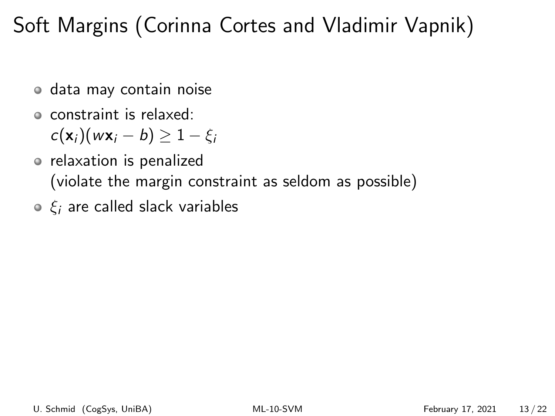# Soft Margins (Corinna Cortes and Vladimir Vapnik)

- data may contain noise
- constraint is relaxed:

 $c(\mathbf{x}_i)(w\mathbf{x}_i - b) \geq 1 - \xi_i$ 

- relaxation is penalized (violate the margin constraint as seldom as possible)
- $\circ$   $\xi$  are called slack variables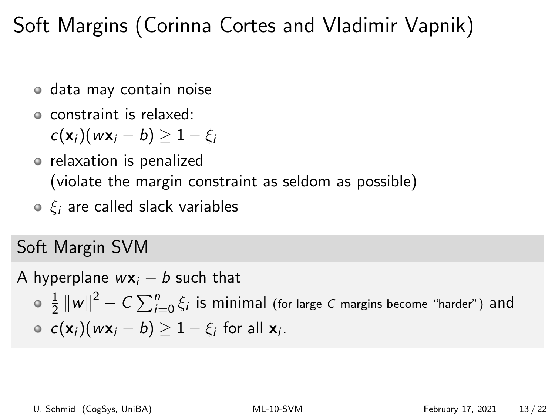# Soft Margins (Corinna Cortes and Vladimir Vapnik)

- data may contain noise
- constraint is relaxed:

$$
c(\mathbf{x}_i)(w\mathbf{x}_i - b) \geq 1 - \xi_i
$$

- relaxation is penalized (violate the margin constraint as seldom as possible)
- $\circ$   $\xi$  are called slack variables

## Soft Margin SVM

A hyperplane  $w\mathbf{x}_i - b$  such that

1  $\frac{1}{2}\left\|w\right\|^2 - C\sum_{i=0}^n \xi_i$  is minimal (for large  $C$  margins become "harder") <code>and</code>  $c(\mathbf{x}_i)(w\mathbf{x}_i - b) \geq 1 - \xi_i$  for all  $\mathbf{x}_i$ .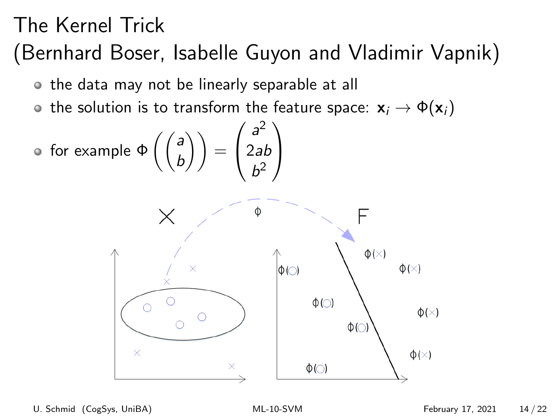# The Kernel Trick (Bernhard Boser, Isabelle Guyon and Vladimir Vapnik)

- the data may not be linearly separable at all
- the solution is to transform the feature space:  $x_i \rightarrow \Phi(x_i)$

• for example 
$$
\Phi\left(\begin{pmatrix} a \\ b \end{pmatrix}\right) = \begin{pmatrix} a^2 \\ 2ab \\ b^2 \end{pmatrix}
$$

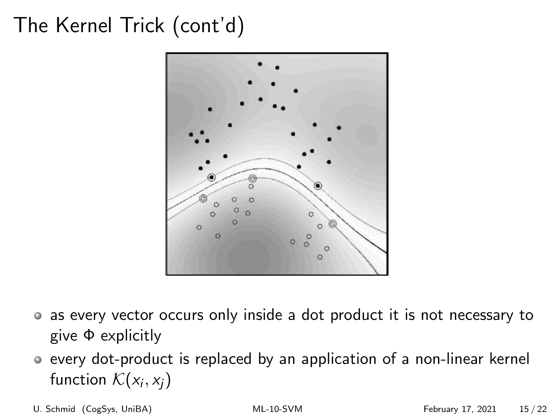# The Kernel Trick (cont'd)



- as every vector occurs only inside a dot product it is not necessary to give Φ explicitly
- every dot-product is replaced by an application of a non-linear kernel function  $\mathcal{K}(x_i, x_j)$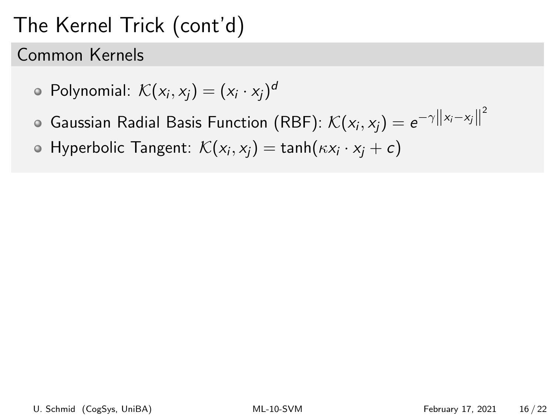# The Kernel Trick (cont'd)

Common Kernels

• Polynomial: 
$$
\mathcal{K}(x_i, x_j) = (x_i \cdot x_j)^d
$$

- Gaussian Radial Basis Function (RBF):  $\mathcal{K}(x_i, x_j) = e^{-\gamma\left\|x_i-x_j\right\|^2}$
- Hyperbolic Tangent:  $\mathcal{K}(x_i, x_j) = \textsf{tanh}(\kappa x_i \cdot x_j + c)$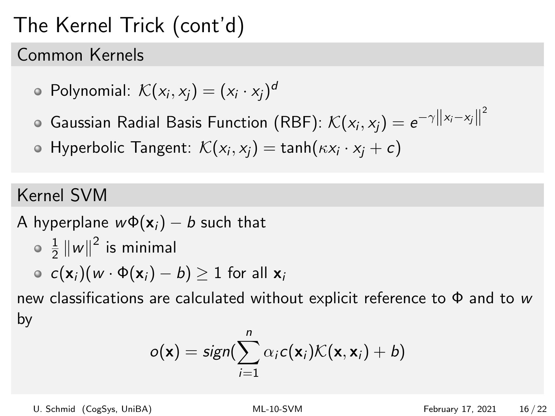# The Kernel Trick (cont'd)

#### Common Kernels

• Polynomial: 
$$
\mathcal{K}(x_i, x_j) = (x_i \cdot x_j)^d
$$

- Gaussian Radial Basis Function (RBF):  $\mathcal{K}(x_i, x_j) = e^{-\gamma\left\|x_i-x_j\right\|^2}$
- Hyperbolic Tangent:  $\mathcal{K}(x_i, x_j) = \textsf{tanh}(\kappa x_i \cdot x_j + c)$

### Kernel SVM

A hyperplane  $w\Phi(\mathbf{x}_i) - b$  such that 1  $\frac{1}{2}$   $\|w\|^2$  is minimal

$$
\circ \ c(\mathbf{x}_i)(w \cdot \Phi(\mathbf{x}_i) - b) \geq 1 \text{ for all } \mathbf{x}_i
$$

new classifications are calculated without explicit reference to  $\Phi$  and to w by

$$
o(\mathbf{x}) = sign(\sum_{i=1}^n \alpha_i c(\mathbf{x}_i) \mathcal{K}(\mathbf{x}, \mathbf{x}_i) + b)
$$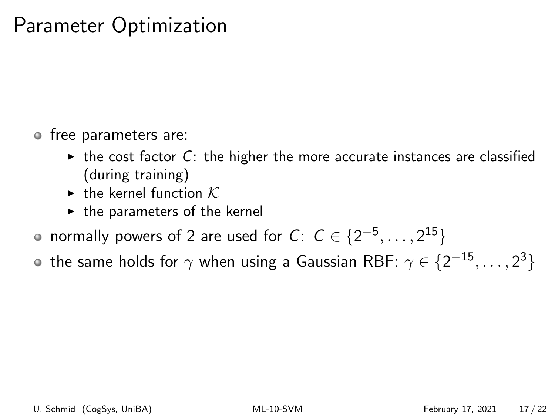## Parameter Optimization

- free parameters are:
	- $\triangleright$  the cost factor C: the higher the more accurate instances are classified (during training)
	- $\blacktriangleright$  the kernel function K.
	- $\blacktriangleright$  the parameters of the kernel
- normally powers of 2 are used for  $C\colon\thinspace\mathcal{C}\in\{2^{-5},\ldots,2^{15}\}$
- the same holds for  $\gamma$  when using a Gaussian RBF:  $\gamma \in \{2^{-15}, \ldots, 2^{3}\}$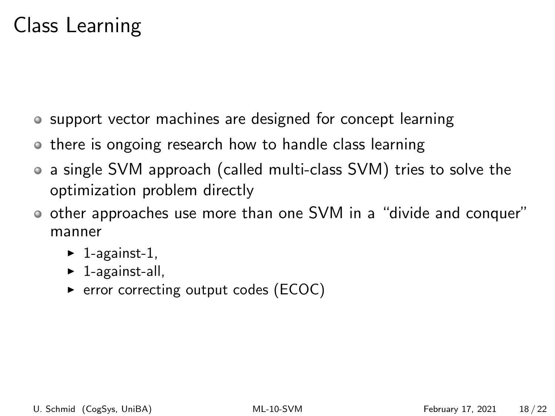## Class Learning

- support vector machines are designed for concept learning
- o there is ongoing research how to handle class learning
- a single SVM approach (called multi-class SVM) tries to solve the optimization problem directly
- other approaches use more than one SVM in a "divide and conquer" manner
	- $\blacktriangleright$  1-against-1,
	- $\blacktriangleright$  1-against-all,
	- $\triangleright$  error correcting output codes (ECOC)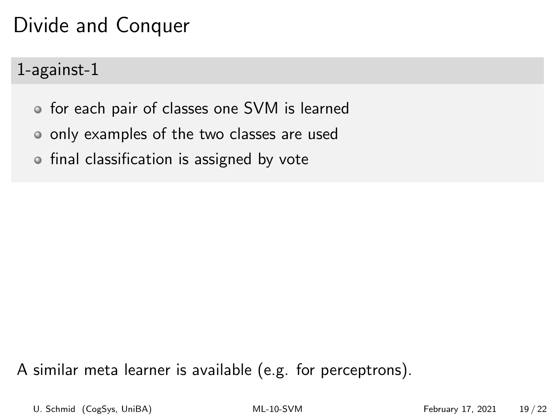# Divide and Conquer

1-against-1

- for each pair of classes one SVM is learned
- only examples of the two classes are used
- o final classification is assigned by vote

A similar meta learner is available (e.g. for perceptrons).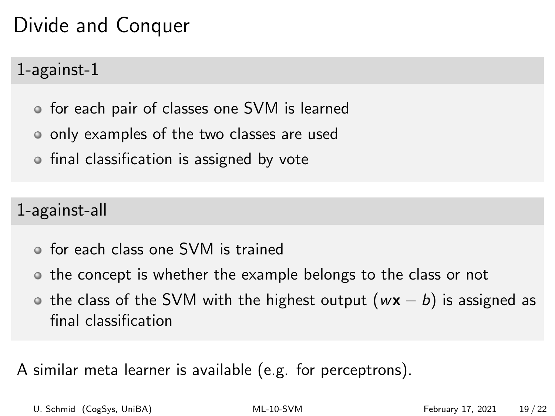# Divide and Conquer

## 1-against-1

- for each pair of classes one SVM is learned
- only examples of the two classes are used
- o final classification is assigned by vote

1-against-all

- for each class one SVM is trained
- o the concept is whether the example belongs to the class or not
- the class of the SVM with the highest output ( $w\mathbf{x} b$ ) is assigned as final classification

A similar meta learner is available (e.g. for perceptrons).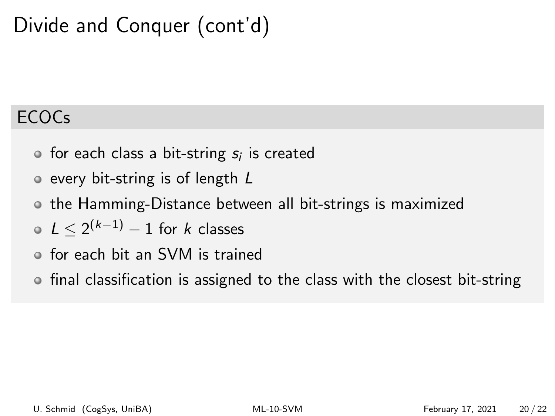# Divide and Conquer (cont'd)

## ECOCs

- for each class a bit-string  $s_i$  is created
- o every bit-string is of length L
- the Hamming-Distance between all bit-strings is maximized
- $L \leq 2^{(k-1)} 1$  for k classes
- for each bit an SVM is trained
- final classification is assigned to the class with the closest bit-string